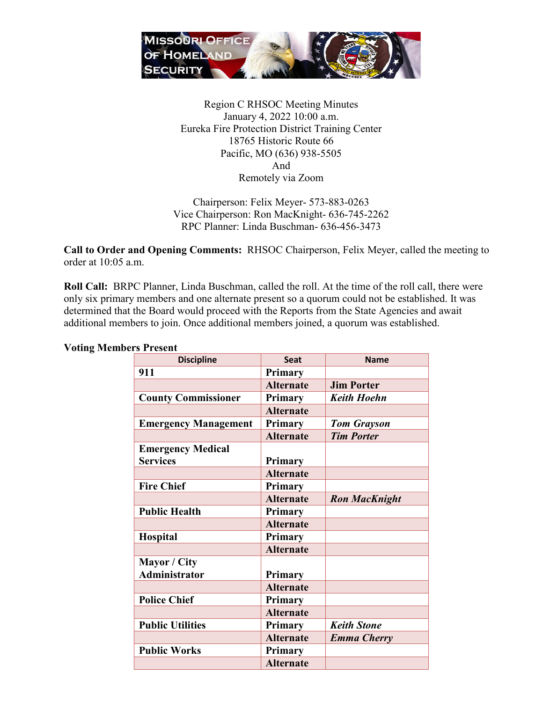

Region C RHSOC Meeting Minutes January 4, 2022 10:00 a.m. Eureka Fire Protection District Training Center 18765 Historic Route 66 Pacific, MO (636) 938-5505 And Remotely via Zoom

Chairperson: Felix Meyer- 573-883-0263 Vice Chairperson: Ron MacKnight- 636-745-2262 RPC Planner: Linda Buschman- 636-456-3473

**Call to Order and Opening Comments:** RHSOC Chairperson, Felix Meyer, called the meeting to order at 10:05 a.m.

**Roll Call:** BRPC Planner, Linda Buschman, called the roll. At the time of the roll call, there were only six primary members and one alternate present so a quorum could not be established. It was determined that the Board would proceed with the Reports from the State Agencies and await additional members to join. Once additional members joined, a quorum was established.

| <b>Discipline</b>           | <b>Seat</b>      | <b>Name</b>          |
|-----------------------------|------------------|----------------------|
| 911                         | Primary          |                      |
|                             | <b>Alternate</b> | <b>Jim Porter</b>    |
| <b>County Commissioner</b>  | Primary          | <b>Keith Hoehn</b>   |
|                             | <b>Alternate</b> |                      |
| <b>Emergency Management</b> | Primary          | <b>Tom Grayson</b>   |
|                             | <b>Alternate</b> | <b>Tim Porter</b>    |
| <b>Emergency Medical</b>    |                  |                      |
| <b>Services</b>             | Primary          |                      |
|                             | <b>Alternate</b> |                      |
| <b>Fire Chief</b>           | Primary          |                      |
|                             | <b>Alternate</b> | <b>Ron MacKnight</b> |
| <b>Public Health</b>        | Primary          |                      |
|                             | <b>Alternate</b> |                      |
| Hospital                    | Primary          |                      |
|                             | <b>Alternate</b> |                      |
| Mayor / City                |                  |                      |
| <b>Administrator</b>        | Primary          |                      |
|                             | <b>Alternate</b> |                      |
| <b>Police Chief</b>         | Primary          |                      |
|                             | <b>Alternate</b> |                      |
| <b>Public Utilities</b>     | Primary          | <b>Keith Stone</b>   |
|                             | <b>Alternate</b> | <b>Emma Cherry</b>   |
| <b>Public Works</b>         | Primary          |                      |
|                             | <b>Alternate</b> |                      |

## **Voting Members Present**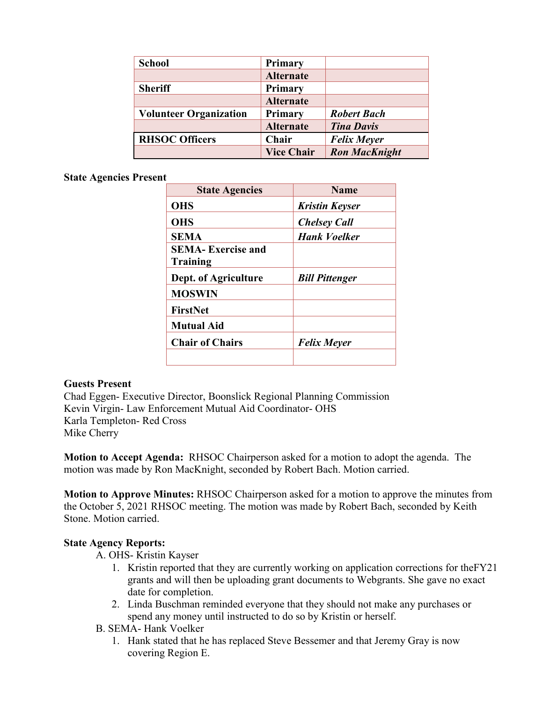| <b>School</b>                 | Primary           |                      |
|-------------------------------|-------------------|----------------------|
|                               | <b>Alternate</b>  |                      |
| <b>Sheriff</b>                | <b>Primary</b>    |                      |
|                               | <b>Alternate</b>  |                      |
| <b>Volunteer Organization</b> | Primary           | <b>Robert Bach</b>   |
|                               | <b>Alternate</b>  | <b>Tina Davis</b>    |
| <b>RHSOC Officers</b>         | Chair             | <b>Felix Meyer</b>   |
|                               | <b>Vice Chair</b> | <b>Ron MacKnight</b> |

### **State Agencies Present**

| <b>State Agencies</b>    | <b>Name</b>           |
|--------------------------|-----------------------|
| <b>OHS</b>               | <b>Kristin Keyser</b> |
| <b>OHS</b>               | <b>Chelsey Call</b>   |
| <b>SEMA</b>              | <b>Hank Voelker</b>   |
| <b>SEMA-Exercise and</b> |                       |
| Training                 |                       |
| Dept. of Agriculture     | <b>Bill Pittenger</b> |
| <b>MOSWIN</b>            |                       |
| <b>FirstNet</b>          |                       |
| <b>Mutual Aid</b>        |                       |
| <b>Chair of Chairs</b>   | <b>Felix Meyer</b>    |
|                          |                       |

### **Guests Present**

Chad Eggen- Executive Director, Boonslick Regional Planning Commission Kevin Virgin- Law Enforcement Mutual Aid Coordinator- OHS Karla Templeton- Red Cross Mike Cherry

**Motion to Accept Agenda:** RHSOC Chairperson asked for a motion to adopt the agenda. The motion was made by Ron MacKnight, seconded by Robert Bach. Motion carried.

**Motion to Approve Minutes:** RHSOC Chairperson asked for a motion to approve the minutes from the October 5, 2021 RHSOC meeting. The motion was made by Robert Bach, seconded by Keith Stone. Motion carried.

### **State Agency Reports:**

A. OHS- Kristin Kayser

- 1. Kristin reported that they are currently working on application corrections for theFY21 grants and will then be uploading grant documents to Webgrants. She gave no exact date for completion.
- 2. Linda Buschman reminded everyone that they should not make any purchases or spend any money until instructed to do so by Kristin or herself.
- B. SEMA- Hank Voelker
	- 1. Hank stated that he has replaced Steve Bessemer and that Jeremy Gray is now covering Region E.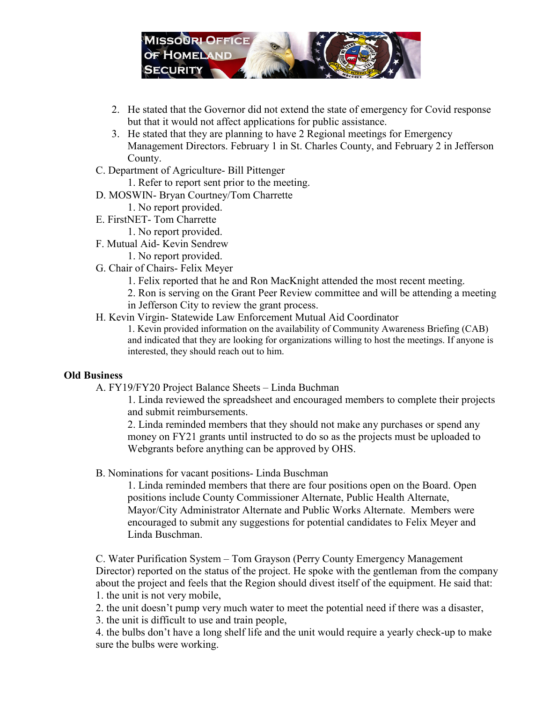

- 2. He stated that the Governor did not extend the state of emergency for Covid response but that it would not affect applications for public assistance.
- 3. He stated that they are planning to have 2 Regional meetings for Emergency Management Directors. February 1 in St. Charles County, and February 2 in Jefferson County.
- C. Department of Agriculture- Bill Pittenger
	- 1. Refer to report sent prior to the meeting.
- D. MOSWIN- Bryan Courtney/Tom Charrette
	- 1. No report provided.
- E. FirstNET- Tom Charrette
	- 1. No report provided.
- F. Mutual Aid- Kevin Sendrew
	- 1. No report provided.
- G. Chair of Chairs- Felix Meyer
	- 1. Felix reported that he and Ron MacKnight attended the most recent meeting.
	- 2. Ron is serving on the Grant Peer Review committee and will be attending a meeting
	- in Jefferson City to review the grant process.
- H. Kevin Virgin- Statewide Law Enforcement Mutual Aid Coordinator
	- 1. Kevin provided information on the availability of Community Awareness Briefing (CAB) and indicated that they are looking for organizations willing to host the meetings. If anyone is interested, they should reach out to him.

# **Old Business**

A. FY19/FY20 Project Balance Sheets – Linda Buchman

1. Linda reviewed the spreadsheet and encouraged members to complete their projects and submit reimbursements.

2. Linda reminded members that they should not make any purchases or spend any money on FY21 grants until instructed to do so as the projects must be uploaded to Webgrants before anything can be approved by OHS.

B. Nominations for vacant positions- Linda Buschman

1. Linda reminded members that there are four positions open on the Board. Open positions include County Commissioner Alternate, Public Health Alternate, Mayor/City Administrator Alternate and Public Works Alternate. Members were encouraged to submit any suggestions for potential candidates to Felix Meyer and Linda Buschman.

C. Water Purification System – Tom Grayson (Perry County Emergency Management Director) reported on the status of the project. He spoke with the gentleman from the company about the project and feels that the Region should divest itself of the equipment. He said that: 1. the unit is not very mobile,

2. the unit doesn't pump very much water to meet the potential need if there was a disaster,

3. the unit is difficult to use and train people,

4. the bulbs don't have a long shelf life and the unit would require a yearly check-up to make sure the bulbs were working.